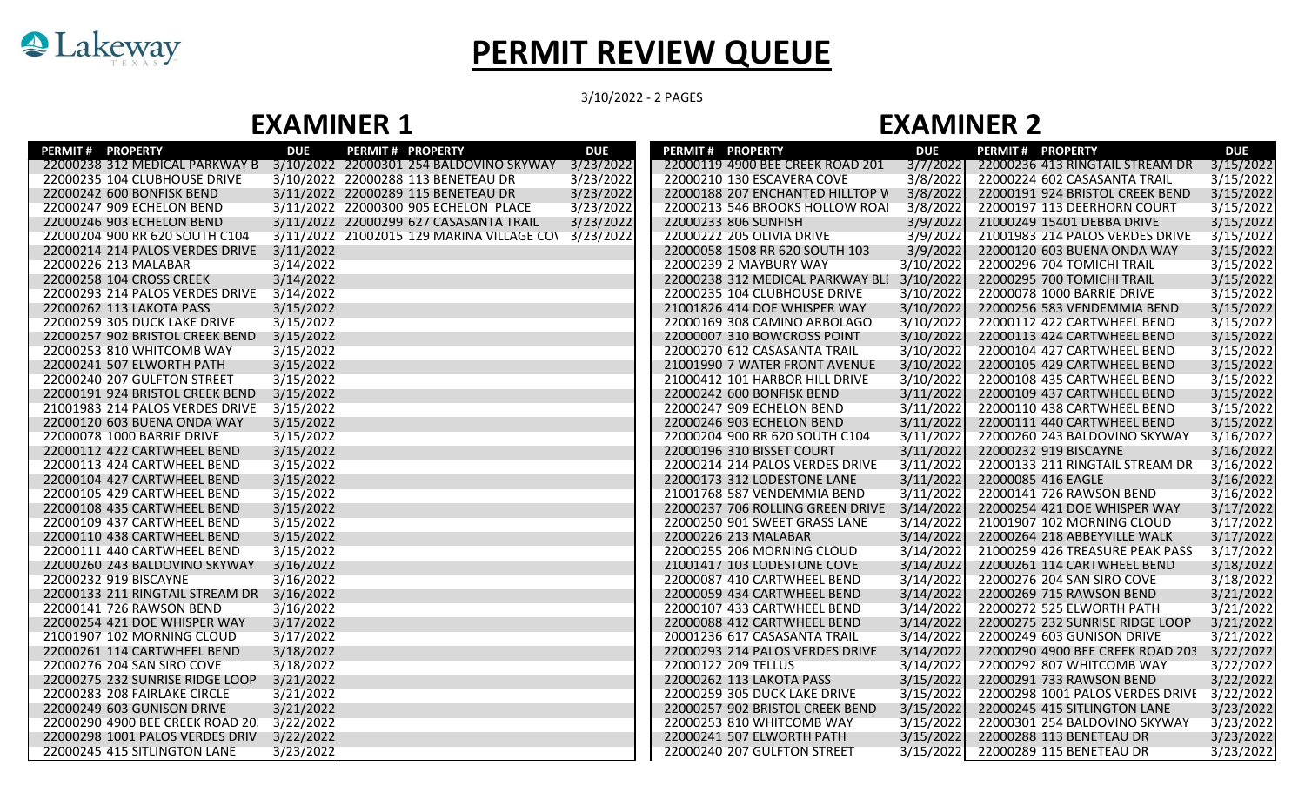

## **PERMIT REVIEW QUEUE**

3/10/2022 - 2 PAGES

## **EXAMINER 1 EXAMINER 2**

| <b>PERMIT # PROPERTY</b>                  | <b>DUE</b> | <b>PERMIT # PROPERTY</b>                            | <b>DUE</b> | PERMIT # PROPERTY                          | <b>DUE</b> | <b>PERMIT # PROPERTY</b>         | <b>DUE</b> |
|-------------------------------------------|------------|-----------------------------------------------------|------------|--------------------------------------------|------------|----------------------------------|------------|
| 22000238 312 MEDICAL PARKWAY B            |            | 3/10/2022 22000301 254 BALDOVINO SKYWAY 3/23/2022   |            | 22000119 4900 BEE CREEK ROAD 201           | 3/7/2022   | 22000236 413 RINGTAIL STREAM DR  | 3/15/2022  |
| 22000235 104 CLUBHOUSE DRIVE              | 3/10/2022  | 22000288 113 BENETEAU DR                            | 3/23/2022  | 22000210 130 ESCAVERA COVE                 | 3/8/2022   | 22000224 602 CASASANTA TRAIL     | 3/15/2022  |
| 22000242 600 BONFISK BEND                 |            | 3/11/2022 22000289 115 BENETEAU DR                  | 3/23/2022  | 22000188 207 ENCHANTED HILLTOP W           | 3/8/2022   | 22000191 924 BRISTOL CREEK BEND  | 3/15/2022  |
| 22000247 909 ECHELON BEND                 |            | 3/11/2022 22000300 905 ECHELON PLACE                | 3/23/2022  | 22000213 546 BROOKS HOLLOW ROAI            | 3/8/2022   | 22000197 113 DEERHORN COURT      | 3/15/2022  |
| 22000246 903 ECHELON BEND                 |            | 3/11/2022 22000299 627 CASASANTA TRAIL              | 3/23/2022  | 22000233 806 SUNFISH                       | 3/9/2022   | 21000249 15401 DEBBA DRIVE       | 3/15/2022  |
| 22000204 900 RR 620 SOUTH C104            |            | 3/11/2022 21002015 129 MARINA VILLAGE CO\ 3/23/2022 |            | 22000222 205 OLIVIA DRIVE                  | 3/9/2022   | 21001983 214 PALOS VERDES DRIVE  | 3/15/2022  |
| 22000214 214 PALOS VERDES DRIVE           | 3/11/2022  |                                                     |            | 22000058 1508 RR 620 SOUTH 103             | 3/9/2022   | 22000120 603 BUENA ONDA WAY      | 3/15/2022  |
| 22000226 213 MALABAR                      | 3/14/2022  |                                                     |            | 22000239 2 MAYBURY WAY                     | 3/10/2022  | 22000296 704 TOMICHI TRAIL       | 3/15/2022  |
| 22000258 104 CROSS CREEK                  | 3/14/2022  |                                                     |            | 22000238 312 MEDICAL PARKWAY BLI 3/10/2022 |            | 22000295 700 TOMICHI TRAIL       | 3/15/2022  |
| 22000293 214 PALOS VERDES DRIVE           | 3/14/2022  |                                                     |            | 22000235 104 CLUBHOUSE DRIVE               | 3/10/2022  | 22000078 1000 BARRIE DRIVE       | 3/15/2022  |
| 22000262 113 LAKOTA PASS                  | 3/15/2022  |                                                     |            | 21001826 414 DOE WHISPER WAY               | 3/10/2022  | 22000256 583 VENDEMMIA BEND      | 3/15/2022  |
| 22000259 305 DUCK LAKE DRIVE              | 3/15/2022  |                                                     |            | 22000169 308 CAMINO ARBOLAGO               | 3/10/2022  | 22000112 422 CARTWHEEL BEND      | 3/15/2022  |
| 22000257 902 BRISTOL CREEK BEND           | 3/15/2022  |                                                     |            | 22000007 310 BOWCROSS POINT                | 3/10/2022  | 22000113 424 CARTWHEEL BEND      | 3/15/2022  |
| 22000253 810 WHITCOMB WAY                 | 3/15/2022  |                                                     |            | 22000270 612 CASASANTA TRAIL               | 3/10/2022  | 22000104 427 CARTWHEEL BEND      | 3/15/2022  |
| 22000241 507 ELWORTH PATH                 | 3/15/2022  |                                                     |            | 21001990 7 WATER FRONT AVENUE              | 3/10/2022  | 22000105 429 CARTWHEEL BEND      | 3/15/2022  |
| 22000240 207 GULFTON STREET               | 3/15/2022  |                                                     |            | 21000412 101 HARBOR HILL DRIVE             | 3/10/2022  | 22000108 435 CARTWHEEL BEND      | 3/15/2022  |
| 22000191 924 BRISTOL CREEK BEND           | 3/15/2022  |                                                     |            | 22000242 600 BONFISK BEND                  | 3/11/2022  | 22000109 437 CARTWHEEL BEND      | 3/15/2022  |
| 21001983 214 PALOS VERDES DRIVE           | 3/15/2022  |                                                     |            | 22000247 909 ECHELON BEND                  | 3/11/2022  | 22000110 438 CARTWHEEL BEND      | 3/15/2022  |
| 22000120 603 BUENA ONDA WAY               | 3/15/2022  |                                                     |            | 22000246 903 ECHELON BEND                  | 3/11/2022  | 22000111 440 CARTWHEEL BEND      | 3/15/2022  |
| 22000078 1000 BARRIE DRIVE                | 3/15/2022  |                                                     |            | 22000204 900 RR 620 SOUTH C104             | 3/11/2022  | 22000260 243 BALDOVINO SKYWAY    | 3/16/2022  |
| 22000112 422 CARTWHEEL BEND               | 3/15/2022  |                                                     |            | 22000196 310 BISSET COURT                  | 3/11/2022  | 22000232 919 BISCAYNE            | 3/16/2022  |
| 22000113 424 CARTWHEEL BEND               | 3/15/2022  |                                                     |            | 22000214 214 PALOS VERDES DRIVE            | 3/11/2022  | 22000133 211 RINGTAIL STREAM DR  | 3/16/2022  |
| 22000104 427 CARTWHEEL BEND               | 3/15/2022  |                                                     |            | 22000173 312 LODESTONE LANE                | 3/11/2022  | 22000085 416 EAGLE               | 3/16/2022  |
| 22000105 429 CARTWHEEL BEND               | 3/15/2022  |                                                     |            | 21001768 587 VENDEMMIA BEND                | 3/11/2022  | 22000141 726 RAWSON BEND         | 3/16/2022  |
| 22000108 435 CARTWHEEL BEND               | 3/15/2022  |                                                     |            | 22000237 706 ROLLING GREEN DRIVE           | 3/14/2022  | 22000254 421 DOE WHISPER WAY     | 3/17/2022  |
| 22000109 437 CARTWHEEL BEND               | 3/15/2022  |                                                     |            | 22000250 901 SWEET GRASS LANE              | 3/14/2022  | 21001907 102 MORNING CLOUD       | 3/17/2022  |
| 22000110 438 CARTWHEEL BEND               | 3/15/2022  |                                                     |            | 22000226 213 MALABAR                       | 3/14/2022  | 22000264 218 ABBEYVILLE WALK     | 3/17/2022  |
| 22000111 440 CARTWHEEL BEND               | 3/15/2022  |                                                     |            | 22000255 206 MORNING CLOUD                 | 3/14/2022  | 21000259 426 TREASURE PEAK PASS  | 3/17/2022  |
| 22000260 243 BALDOVINO SKYWAY             | 3/16/2022  |                                                     |            | 21001417 103 LODESTONE COVE                | 3/14/2022  | 22000261 114 CARTWHEEL BEND      | 3/18/2022  |
| 22000232 919 BISCAYNE                     | 3/16/2022  |                                                     |            | 22000087 410 CARTWHEEL BEND                | 3/14/2022  | 22000276 204 SAN SIRO COVE       | 3/18/2022  |
| 22000133 211 RINGTAIL STREAM DR 3/16/2022 |            |                                                     |            | 22000059 434 CARTWHEEL BEND                | 3/14/2022  | 22000269 715 RAWSON BEND         | 3/21/2022  |
| 22000141 726 RAWSON BEND                  | 3/16/2022  |                                                     |            | 22000107 433 CARTWHEEL BEND                | 3/14/2022  | 22000272 525 ELWORTH PATH        | 3/21/2022  |
| 22000254 421 DOE WHISPER WAY              | 3/17/2022  |                                                     |            | 22000088 412 CARTWHEEL BEND                | 3/14/2022  | 22000275 232 SUNRISE RIDGE LOOP  | 3/21/2022  |
| 21001907 102 MORNING CLOUD                | 3/17/2022  |                                                     |            | 20001236 617 CASASANTA TRAIL               | 3/14/2022  | 22000249 603 GUNISON DRIVE       | 3/21/2022  |
| 22000261 114 CARTWHEEL BEND               | 3/18/2022  |                                                     |            | 22000293 214 PALOS VERDES DRIVE            | 3/14/2022  | 22000290 4900 BEE CREEK ROAD 203 | 3/22/2022  |
| 22000276 204 SAN SIRO COVE                | 3/18/2022  |                                                     |            | 22000122 209 TELLUS                        | 3/14/2022  | 22000292 807 WHITCOMB WAY        | 3/22/2022  |
| 22000275 232 SUNRISE RIDGE LOOP           | 3/21/2022  |                                                     |            | 22000262 113 LAKOTA PASS                   | 3/15/2022  | 22000291 733 RAWSON BEND         | 3/22/2022  |
| 22000283 208 FAIRLAKE CIRCLE              | 3/21/2022  |                                                     |            | 22000259 305 DUCK LAKE DRIVE               | 3/15/2022  | 22000298 1001 PALOS VERDES DRIVE | 3/22/2022  |
| 22000249 603 GUNISON DRIVE                | 3/21/2022  |                                                     |            | 22000257 902 BRISTOL CREEK BEND            | 3/15/2022  | 22000245 415 SITLINGTON LANE     | 3/23/2022  |
| 22000290 4900 BEE CREEK ROAD 20           | 3/22/2022  |                                                     |            | 22000253 810 WHITCOMB WAY                  | 3/15/2022  | 22000301 254 BALDOVINO SKYWAY    | 3/23/2022  |
| 22000298 1001 PALOS VERDES DRIV 3/22/2022 |            |                                                     |            | 22000241 507 ELWORTH PATH                  | 3/15/2022  | 22000288 113 BENETEAU DR         | 3/23/2022  |
| 22000245 415 SITLINGTON LANE              | 3/23/2022  |                                                     |            | 22000240 207 GULFTON STREET                | 3/15/2022  | 22000289 115 BENETEAU DR         | 3/23/2022  |